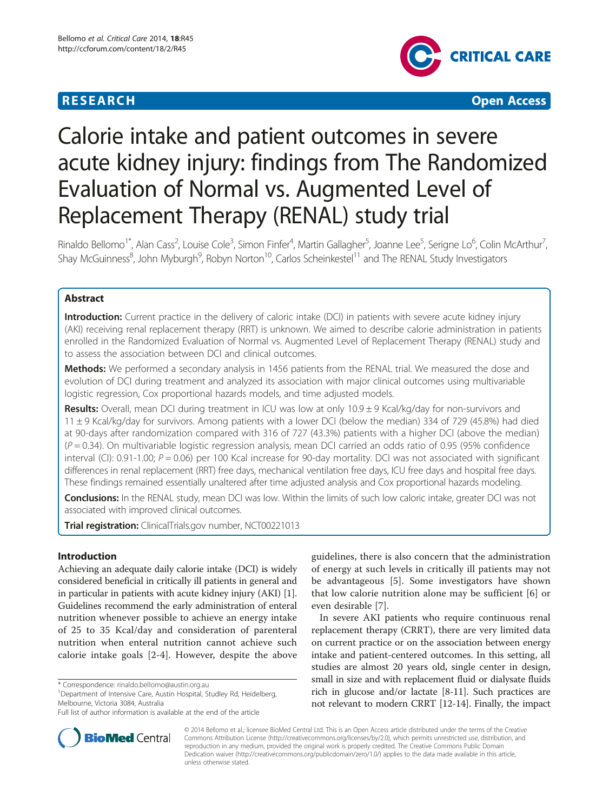## **RESEARCH CHEAR CHEAR CHEAR CHEAR CHEAR CHEAR CHEAR CHEAR CHEAR CHEAR CHEAR CHEAR CHEAR CHEAR CHEAR CHEAR CHEAR**



# Calorie intake and patient outcomes in severe acute kidney injury: findings from The Randomized Evaluation of Normal vs. Augmented Level of Replacement Therapy (RENAL) study trial

Rinaldo Bellomo<sup>1\*</sup>, Alan Cass<sup>2</sup>, Louise Cole<sup>3</sup>, Simon Finfer<sup>4</sup>, Martin Gallagher<sup>5</sup>, Joanne Lee<sup>5</sup>, Serigne Lo<sup>6</sup>, Colin McArthur<sup>7</sup> , Shay McGuinness<sup>8</sup>, John Myburgh<sup>9</sup>, Robyn Norton<sup>10</sup>, Carlos Scheinkestel<sup>11</sup> and The RENAL Study Investigators

## Abstract

Introduction: Current practice in the delivery of caloric intake (DCI) in patients with severe acute kidney injury (AKI) receiving renal replacement therapy (RRT) is unknown. We aimed to describe calorie administration in patients enrolled in the Randomized Evaluation of Normal vs. Augmented Level of Replacement Therapy (RENAL) study and to assess the association between DCI and clinical outcomes.

Methods: We performed a secondary analysis in 1456 patients from the RENAL trial. We measured the dose and evolution of DCI during treatment and analyzed its association with major clinical outcomes using multivariable logistic regression, Cox proportional hazards models, and time adjusted models.

Results: Overall, mean DCI during treatment in ICU was low at only  $10.9 \pm 9$  Kcal/kg/day for non-survivors and  $11 \pm 9$  Kcal/kg/day for survivors. Among patients with a lower DCI (below the median) 334 of 729 (45.8%) had died at 90-days after randomization compared with 316 of 727 (43.3%) patients with a higher DCI (above the median)  $(P = 0.34)$ . On multivariable logistic regression analysis, mean DCI carried an odds ratio of 0.95 (95% confidence interval (CI): 0.91-1.00;  $P = 0.06$ ) per 100 Kcal increase for 90-day mortality. DCI was not associated with significant differences in renal replacement (RRT) free days, mechanical ventilation free days, ICU free days and hospital free days. These findings remained essentially unaltered after time adjusted analysis and Cox proportional hazards modeling.

**Conclusions:** In the RENAL study, mean DCI was low. Within the limits of such low caloric intake, greater DCI was not associated with improved clinical outcomes.

**Trial registration:** ClinicalTrials.gov number, NCT00221013

## Introduction

Achieving an adequate daily calorie intake (DCI) is widely considered beneficial in critically ill patients in general and in particular in patients with acute kidney injury (AKI) [1]. Guidelines recommend the early administration of enteral nutrition whenever possible to achieve an energy intake of 25 to 35 Kcal/day and consideration of parenteral nutrition when enteral nutrition cannot achieve such calorie intake goals [2-4]. However, despite the above

<sup>1</sup>Department of Intensive Care, Austin Hospital, Studley Rd, Heidelberg, Melbourne, Victoria 3084, Australia

guidelines, there is also concern that the administration of energy at such levels in critically ill patients may not be advantageous [5]. Some investigators have shown that low calorie nutrition alone may be sufficient [6] or even desirable [7].

In severe AKI patients who require continuous renal replacement therapy (CRRT), there are very limited data on current practice or on the association between energy intake and patient-centered outcomes. In this setting, all studies are almost 20 years old, single center in design, small in size and with replacement fluid or dialysate fluids rich in glucose and/or lactate [8-11]. Such practices are not relevant to modern CRRT [12-14]. Finally, the impact



© 2014 Bellomo et al.; licensee BioMed Central Ltd. This is an Open Access article distributed under the terms of the Creative Commons Attribution License (http://creativecommons.org/licenses/by/2.0), which permits unrestricted use, distribution, and reproduction in any medium, provided the original work is properly credited. The Creative Commons Public Domain Dedication waiver (http://creativecommons.org/publicdomain/zero/1.0/) applies to the data made available in this article, unless otherwise stated.

<sup>\*</sup> Correspondence: rinaldo.bellomo@austin.org.au <sup>1</sup>

Full list of author information is available at the end of the article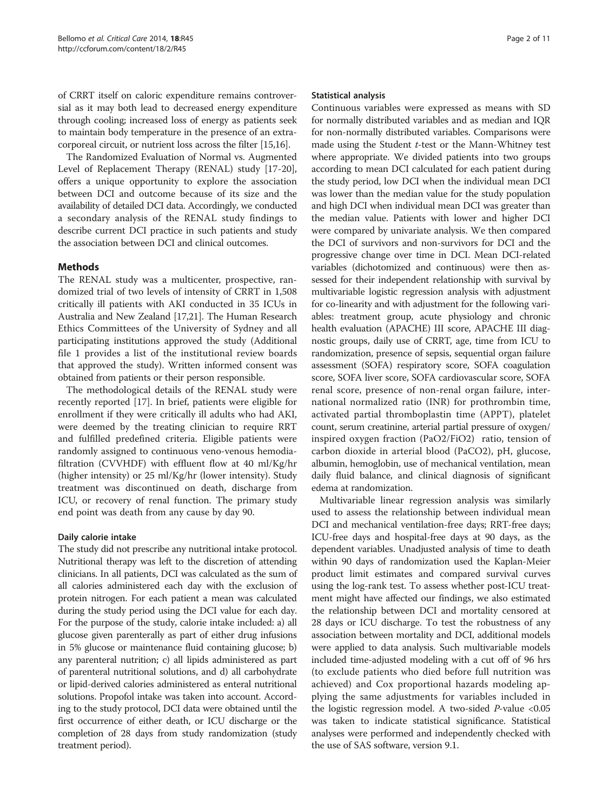of CRRT itself on caloric expenditure remains controversial as it may both lead to decreased energy expenditure through cooling; increased loss of energy as patients seek to maintain body temperature in the presence of an extracorporeal circuit, or nutrient loss across the filter [15,16].

The Randomized Evaluation of Normal vs. Augmented Level of Replacement Therapy (RENAL) study [17-20], offers a unique opportunity to explore the association between DCI and outcome because of its size and the availability of detailed DCI data. Accordingly, we conducted a secondary analysis of the RENAL study findings to describe current DCI practice in such patients and study the association between DCI and clinical outcomes.

## Methods

The RENAL study was a multicenter, prospective, randomized trial of two levels of intensity of CRRT in 1,508 critically ill patients with AKI conducted in 35 ICUs in Australia and New Zealand [17,21]. The Human Research Ethics Committees of the University of Sydney and all participating institutions approved the study (Additional file 1 provides a list of the institutional review boards that approved the study). Written informed consent was obtained from patients or their person responsible.

The methodological details of the RENAL study were recently reported [17]. In brief, patients were eligible for enrollment if they were critically ill adults who had AKI, were deemed by the treating clinician to require RRT and fulfilled predefined criteria. Eligible patients were randomly assigned to continuous veno-venous hemodiafiltration (CVVHDF) with effluent flow at 40 ml/Kg/hr (higher intensity) or 25 ml/Kg/hr (lower intensity). Study treatment was discontinued on death, discharge from ICU, or recovery of renal function. The primary study end point was death from any cause by day 90.

## Daily calorie intake

The study did not prescribe any nutritional intake protocol. Nutritional therapy was left to the discretion of attending clinicians. In all patients, DCI was calculated as the sum of all calories administered each day with the exclusion of protein nitrogen. For each patient a mean was calculated during the study period using the DCI value for each day. For the purpose of the study, calorie intake included: a) all glucose given parenterally as part of either drug infusions in 5% glucose or maintenance fluid containing glucose; b) any parenteral nutrition; c) all lipids administered as part of parenteral nutritional solutions, and d) all carbohydrate or lipid-derived calories administered as enteral nutritional solutions. Propofol intake was taken into account. According to the study protocol, DCI data were obtained until the first occurrence of either death, or ICU discharge or the completion of 28 days from study randomization (study treatment period).

#### Statistical analysis

Continuous variables were expressed as means with SD for normally distributed variables and as median and IQR for non-normally distributed variables. Comparisons were made using the Student t-test or the Mann-Whitney test where appropriate. We divided patients into two groups according to mean DCI calculated for each patient during the study period, low DCI when the individual mean DCI was lower than the median value for the study population and high DCI when individual mean DCI was greater than the median value. Patients with lower and higher DCI were compared by univariate analysis. We then compared the DCI of survivors and non-survivors for DCI and the progressive change over time in DCI. Mean DCI-related variables (dichotomized and continuous) were then assessed for their independent relationship with survival by multivariable logistic regression analysis with adjustment for co-linearity and with adjustment for the following variables: treatment group, acute physiology and chronic health evaluation (APACHE) III score, APACHE III diagnostic groups, daily use of CRRT, age, time from ICU to randomization, presence of sepsis, sequential organ failure assessment (SOFA) respiratory score, SOFA coagulation score, SOFA liver score, SOFA cardiovascular score, SOFA renal score, presence of non-renal organ failure, international normalized ratio (INR) for prothrombin time, activated partial thromboplastin time (APPT), platelet count, serum creatinine, arterial partial pressure of oxygen/ inspired oxygen fraction (PaO2/FiO2) ratio, tension of carbon dioxide in arterial blood (PaCO2), pH, glucose, albumin, hemoglobin, use of mechanical ventilation, mean daily fluid balance, and clinical diagnosis of significant edema at randomization.

Multivariable linear regression analysis was similarly used to assess the relationship between individual mean DCI and mechanical ventilation-free days; RRT-free days; ICU-free days and hospital-free days at 90 days, as the dependent variables. Unadjusted analysis of time to death within 90 days of randomization used the Kaplan-Meier product limit estimates and compared survival curves using the log-rank test. To assess whether post-ICU treatment might have affected our findings, we also estimated the relationship between DCI and mortality censored at 28 days or ICU discharge. To test the robustness of any association between mortality and DCI, additional models were applied to data analysis. Such multivariable models included time-adjusted modeling with a cut off of 96 hrs (to exclude patients who died before full nutrition was achieved) and Cox proportional hazards modeling applying the same adjustments for variables included in the logistic regression model. A two-sided  $P$ -value <0.05 was taken to indicate statistical significance. Statistical analyses were performed and independently checked with the use of SAS software, version 9.1.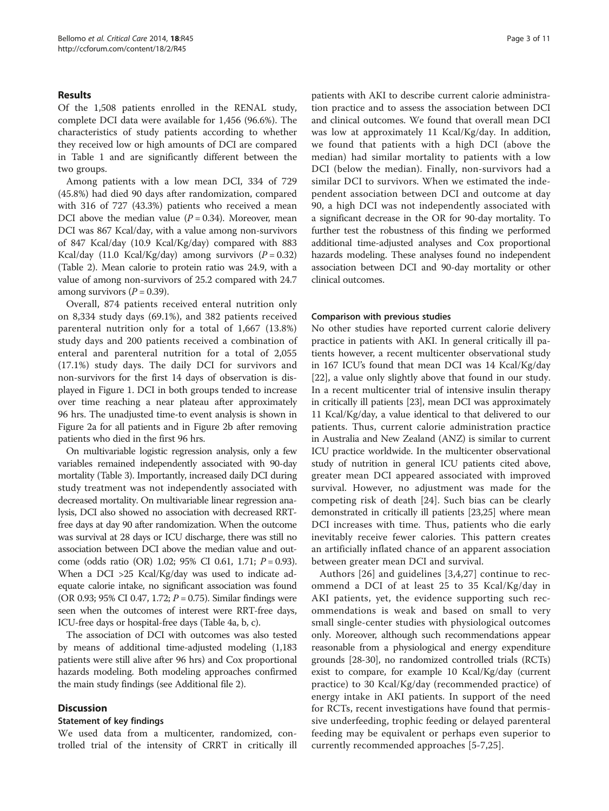## Results

Of the 1,508 patients enrolled in the RENAL study, complete DCI data were available for 1,456 (96.6%). The characteristics of study patients according to whether they received low or high amounts of DCI are compared in Table 1 and are significantly different between the two groups.

Among patients with a low mean DCI, 334 of 729 (45.8%) had died 90 days after randomization, compared with 316 of 727 (43.3%) patients who received a mean DCI above the median value  $(P = 0.34)$ . Moreover, mean DCI was 867 Kcal/day, with a value among non-survivors of 847 Kcal/day (10.9 Kcal/Kg/day) compared with 883 Kcal/day (11.0 Kcal/Kg/day) among survivors  $(P = 0.32)$ (Table 2). Mean calorie to protein ratio was 24.9, with a value of among non-survivors of 25.2 compared with 24.7 among survivors  $(P = 0.39)$ .

Overall, 874 patients received enteral nutrition only on 8,334 study days (69.1%), and 382 patients received parenteral nutrition only for a total of 1,667 (13.8%) study days and 200 patients received a combination of enteral and parenteral nutrition for a total of 2,055 (17.1%) study days. The daily DCI for survivors and non-survivors for the first 14 days of observation is displayed in Figure 1. DCI in both groups tended to increase over time reaching a near plateau after approximately 96 hrs. The unadjusted time-to event analysis is shown in Figure 2a for all patients and in Figure 2b after removing patients who died in the first 96 hrs.

On multivariable logistic regression analysis, only a few variables remained independently associated with 90-day mortality (Table 3). Importantly, increased daily DCI during study treatment was not independently associated with decreased mortality. On multivariable linear regression analysis, DCI also showed no association with decreased RRTfree days at day 90 after randomization. When the outcome was survival at 28 days or ICU discharge, there was still no association between DCI above the median value and outcome (odds ratio (OR) 1.02; 95% CI 0.61, 1.71; P = 0.93). When a DCI >25 Kcal/Kg/day was used to indicate adequate calorie intake, no significant association was found (OR 0.93; 95% CI 0.47, 1.72;  $P = 0.75$ ). Similar findings were seen when the outcomes of interest were RRT-free days, ICU-free days or hospital-free days (Table 4a, b, c).

The association of DCI with outcomes was also tested by means of additional time-adjusted modeling (1,183 patients were still alive after 96 hrs) and Cox proportional hazards modeling. Both modeling approaches confirmed the main study findings (see Additional file 2).

## **Discussion**

#### Statement of key findings

We used data from a multicenter, randomized, controlled trial of the intensity of CRRT in critically ill

patients with AKI to describe current calorie administration practice and to assess the association between DCI and clinical outcomes. We found that overall mean DCI was low at approximately 11 Kcal/Kg/day. In addition, we found that patients with a high DCI (above the median) had similar mortality to patients with a low DCI (below the median). Finally, non-survivors had a similar DCI to survivors. When we estimated the independent association between DCI and outcome at day 90, a high DCI was not independently associated with a significant decrease in the OR for 90-day mortality. To further test the robustness of this finding we performed additional time-adjusted analyses and Cox proportional hazards modeling. These analyses found no independent association between DCI and 90-day mortality or other clinical outcomes.

#### Comparison with previous studies

No other studies have reported current calorie delivery practice in patients with AKI. In general critically ill patients however, a recent multicenter observational study in 167 ICU's found that mean DCI was 14 Kcal/Kg/day [22], a value only slightly above that found in our study. In a recent multicenter trial of intensive insulin therapy in critically ill patients [23], mean DCI was approximately 11 Kcal/Kg/day, a value identical to that delivered to our patients. Thus, current calorie administration practice in Australia and New Zealand (ANZ) is similar to current ICU practice worldwide. In the multicenter observational study of nutrition in general ICU patients cited above, greater mean DCI appeared associated with improved survival. However, no adjustment was made for the competing risk of death [24]. Such bias can be clearly demonstrated in critically ill patients [23,25] where mean DCI increases with time. Thus, patients who die early inevitably receive fewer calories. This pattern creates an artificially inflated chance of an apparent association between greater mean DCI and survival.

Authors [26] and guidelines [3,4,27] continue to recommend a DCI of at least 25 to 35 Kcal/Kg/day in AKI patients, yet, the evidence supporting such recommendations is weak and based on small to very small single-center studies with physiological outcomes only. Moreover, although such recommendations appear reasonable from a physiological and energy expenditure grounds [28-30], no randomized controlled trials (RCTs) exist to compare, for example 10 Kcal/Kg/day (current practice) to 30 Kcal/Kg/day (recommended practice) of energy intake in AKI patients. In support of the need for RCTs, recent investigations have found that permissive underfeeding, trophic feeding or delayed parenteral feeding may be equivalent or perhaps even superior to currently recommended approaches [5-7,25].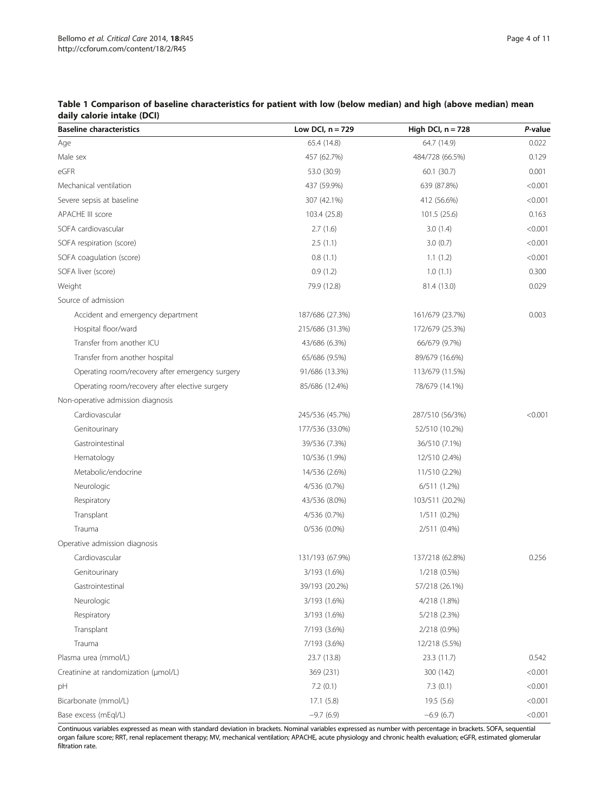| <b>Baseline characteristics</b>                 | Low DCI, $n = 729$ | High DCI, $n = 728$ | P-value |
|-------------------------------------------------|--------------------|---------------------|---------|
| Age                                             | 65.4 (14.8)        | 64.7 (14.9)         | 0.022   |
| Male sex                                        | 457 (62.7%)        | 484/728 (66.5%)     | 0.129   |
| eGFR                                            | 53.0 (30.9)        | 60.1(30.7)          | 0.001   |
| Mechanical ventilation                          | 437 (59.9%)        | 639 (87.8%)         | < 0.001 |
| Severe sepsis at baseline                       | 307 (42.1%)        | 412 (56.6%)         | < 0.001 |
| <b>APACHE III score</b>                         | 103.4 (25.8)       | 101.5(25.6)         | 0.163   |
| SOFA cardiovascular                             | 2.7(1.6)           | 3.0(1.4)            | < 0.001 |
| SOFA respiration (score)                        | 2.5(1.1)           | 3.0(0.7)            | < 0.001 |
| SOFA coagulation (score)                        | 0.8(1.1)           | 1.1(1.2)            | < 0.001 |
| SOFA liver (score)                              | 0.9(1.2)           | 1.0(1.1)            | 0.300   |
| Weight                                          | 79.9 (12.8)        | 81.4 (13.0)         | 0.029   |
| Source of admission                             |                    |                     |         |
| Accident and emergency department               | 187/686 (27.3%)    | 161/679 (23.7%)     | 0.003   |
| Hospital floor/ward                             | 215/686 (31.3%)    | 172/679 (25.3%)     |         |
| Transfer from another ICU                       | 43/686 (6.3%)      | 66/679 (9.7%)       |         |
| Transfer from another hospital                  | 65/686 (9.5%)      | 89/679 (16.6%)      |         |
| Operating room/recovery after emergency surgery | 91/686 (13.3%)     | 113/679 (11.5%)     |         |
| Operating room/recovery after elective surgery  | 85/686 (12.4%)     | 78/679 (14.1%)      |         |
| Non-operative admission diagnosis               |                    |                     |         |
| Cardiovascular                                  | 245/536 (45.7%)    | 287/510 (56/3%)     | < 0.001 |
| Genitourinary                                   | 177/536 (33.0%)    | 52/510 (10.2%)      |         |
| Gastrointestinal                                | 39/536 (7.3%)      | 36/510 (7.1%)       |         |
| Hematology                                      | 10/536 (1.9%)      | 12/510 (2.4%)       |         |
| Metabolic/endocrine                             | 14/536 (2.6%)      | 11/510 (2.2%)       |         |
| Neurologic                                      | 4/536 (0.7%)       | 6/511 (1.2%)        |         |
| Respiratory                                     | 43/536 (8.0%)      | 103/511 (20.2%)     |         |
| Transplant                                      | 4/536 (0.7%)       | 1/511 (0.2%)        |         |
| Trauma                                          | 0/536 (0.0%)       | 2/511 (0.4%)        |         |
| Operative admission diagnosis                   |                    |                     |         |
| Cardiovascular                                  | 131/193 (67.9%)    | 137/218 (62.8%)     | 0.256   |
| Genitourinary                                   | 3/193 (1.6%)       | 1/218 (0.5%)        |         |
| Gastrointestinal                                | 39/193 (20.2%)     | 57/218 (26.1%)      |         |
| Neurologic                                      | 3/193 (1.6%)       | 4/218 (1.8%)        |         |
| Respiratory                                     | 3/193 (1.6%)       | 5/218 (2.3%)        |         |
| Transplant                                      | 7/193 (3.6%)       | 2/218 (0.9%)        |         |
| Trauma                                          | 7/193 (3.6%)       | 12/218 (5.5%)       |         |
| Plasma urea (mmol/L)                            | 23.7 (13.8)        | 23.3 (11.7)         | 0.542   |
| Creatinine at randomization (µmol/L)            | 369 (231)          | 300 (142)           | < 0.001 |
| pH                                              | 7.2(0.1)           | 7.3(0.1)            | < 0.001 |
| Bicarbonate (mmol/L)                            | 17.1(5.8)          | 19.5(5.6)           | < 0.001 |
| Base excess (mEql/L)                            | $-9.7(6.9)$        | $-6.9(6.7)$         | < 0.001 |

## Table 1 Comparison of baseline characteristics for patient with low (below median) and high (above median) mean daily calorie intake (DCI)

Continuous variables expressed as mean with standard deviation in brackets. Nominal variables expressed as number with percentage in brackets. SOFA, sequential organ failure score; RRT, renal replacement therapy; MV, mechanical ventilation; APACHE, acute physiology and chronic health evaluation; eGFR, estimated glomerular filtration rate.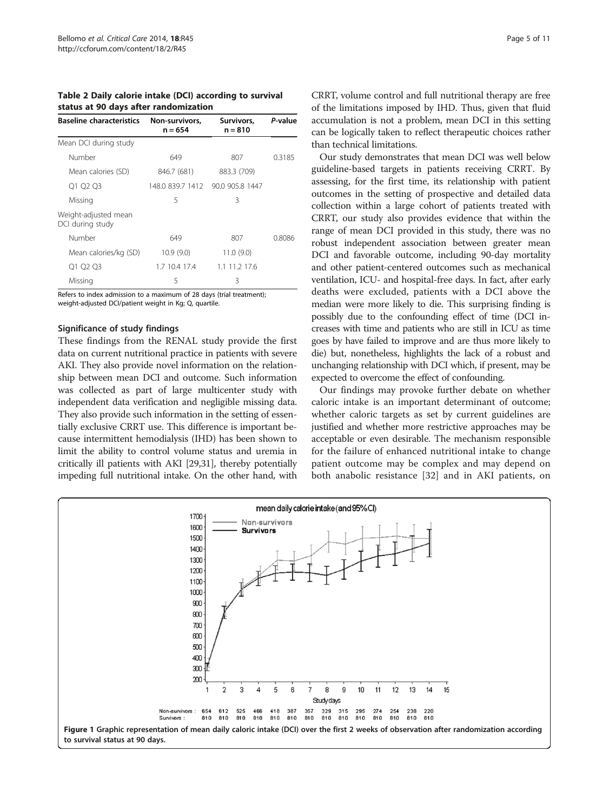Table 2 Daily calorie intake (DCI) according to survival status at 90 days after randomization

| <b>Baseline characteristics</b>          | Non-survivors,<br>$n = 654$ | Survivors.<br>$n = 810$ | P-value |
|------------------------------------------|-----------------------------|-------------------------|---------|
| Mean DCI during study                    |                             |                         |         |
| Number                                   | 649                         | 807                     | 0.3185  |
| Mean calories (SD)                       | 846.7 (681)                 | 883.3 (709)             |         |
| Q1 Q2 Q3                                 | 148.0 839.7 1412            | 90.0 905.8 1447         |         |
| Missing                                  | 5                           | 3                       |         |
| Weight-adjusted mean<br>DCI during study |                             |                         |         |
| Number                                   | 649                         | 807                     | 0.8086  |
| Mean calories/kg (SD)                    | 10.9(9.0)                   | 11.0(9.0)               |         |
| 01 02 03                                 | 1.7 10.4 17.4               | 1.1 11.2 17.6           |         |
| Missing                                  | 5                           | 3                       |         |

Refers to index admission to a maximum of 28 days (trial treatment); weight-adjusted DCI/patient weight in Kg; Q, quartile.

#### Significance of study findings

These findings from the RENAL study provide the first data on current nutritional practice in patients with severe AKI. They also provide novel information on the relationship between mean DCI and outcome. Such information was collected as part of large multicenter study with independent data verification and negligible missing data. They also provide such information in the setting of essentially exclusive CRRT use. This difference is important because intermittent hemodialysis (IHD) has been shown to limit the ability to control volume status and uremia in critically ill patients with AKI [29,31], thereby potentially impeding full nutritional intake. On the other hand, with CRRT, volume control and full nutritional therapy are free of the limitations imposed by IHD. Thus, given that fluid accumulation is not a problem, mean DCI in this setting can be logically taken to reflect therapeutic choices rather than technical limitations.

Our study demonstrates that mean DCI was well below guideline-based targets in patients receiving CRRT. By assessing, for the first time, its relationship with patient outcomes in the setting of prospective and detailed data collection within a large cohort of patients treated with CRRT, our study also provides evidence that within the range of mean DCI provided in this study, there was no robust independent association between greater mean DCI and favorable outcome, including 90-day mortality and other patient-centered outcomes such as mechanical ventilation, ICU- and hospital-free days. In fact, after early deaths were excluded, patients with a DCI above the median were more likely to die. This surprising finding is possibly due to the confounding effect of time (DCI increases with time and patients who are still in ICU as time goes by have failed to improve and are thus more likely to die) but, nonetheless, highlights the lack of a robust and unchanging relationship with DCI which, if present, may be expected to overcome the effect of confounding.

Our findings may provoke further debate on whether caloric intake is an important determinant of outcome; whether caloric targets as set by current guidelines are justified and whether more restrictive approaches may be acceptable or even desirable. The mechanism responsible for the failure of enhanced nutritional intake to change patient outcome may be complex and may depend on both anabolic resistance [32] and in AKI patients, on

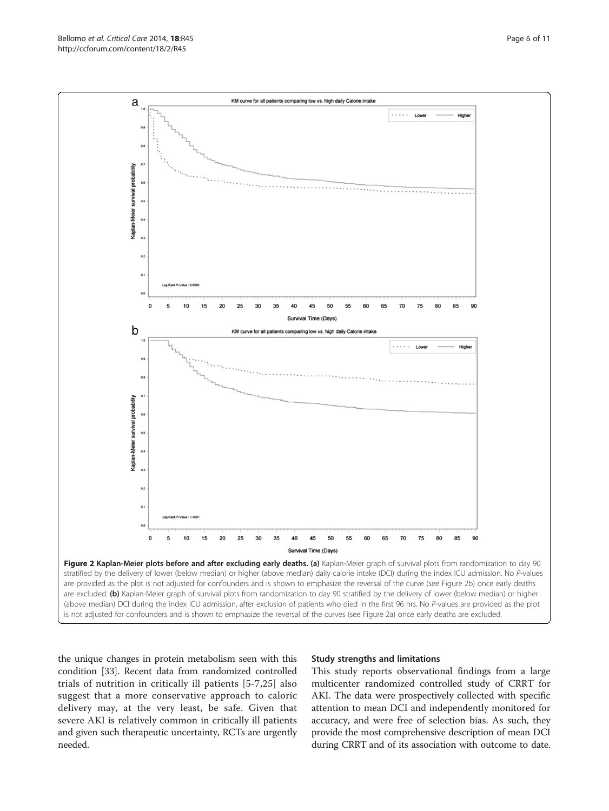the unique changes in protein metabolism seen with this condition [33]. Recent data from randomized controlled trials of nutrition in critically ill patients [5-7,25] also suggest that a more conservative approach to caloric delivery may, at the very least, be safe. Given that severe AKI is relatively common in critically ill patients and given such therapeutic uncertainty, RCTs are urgently needed.

#### Study strengths and limitations

This study reports observational findings from a large multicenter randomized controlled study of CRRT for AKI. The data were prospectively collected with specific attention to mean DCI and independently monitored for accuracy, and were free of selection bias. As such, they provide the most comprehensive description of mean DCI during CRRT and of its association with outcome to date.



KM curve for all patients comparing low vs. high daily Calorie intake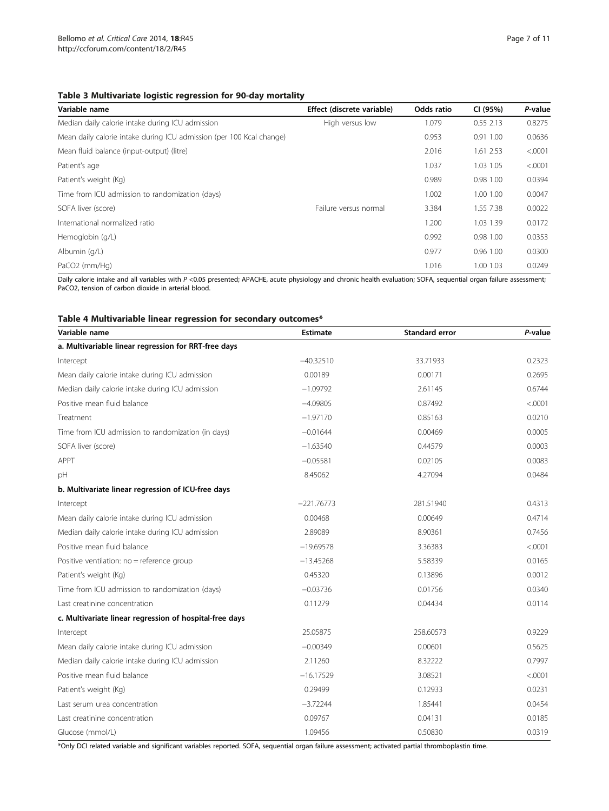## Table 3 Multivariate logistic regression for 90-day mortality

| Variable name                                                        | Effect (discrete variable) | Odds ratio | CI (95%)  | P-value |
|----------------------------------------------------------------------|----------------------------|------------|-----------|---------|
| Median daily calorie intake during ICU admission                     | High versus low            | 1.079      | 0.55 2.13 | 0.8275  |
| Mean daily calorie intake during ICU admission (per 100 Kcal change) |                            | 0.953      | 0.91 1.00 | 0.0636  |
| Mean fluid balance (input-output) (litre)                            |                            | 2.016      | 1.61 2.53 | < 0.001 |
| Patient's age                                                        |                            | 1.037      | 1.03 1.05 | < .0001 |
| Patient's weight (Kg)                                                |                            | 0.989      | 0.98 1.00 | 0.0394  |
| Time from ICU admission to randomization (days)                      |                            | 1.002      | 1.00 1.00 | 0.0047  |
| SOFA liver (score)                                                   | Failure versus normal      | 3.384      | 1.55 7.38 | 0.0022  |
| International normalized ratio                                       |                            | 1.200      | 1.03 1.39 | 0.0172  |
| Hemoglobin (g/L)                                                     |                            | 0.992      | 0.98 1.00 | 0.0353  |
| Albumin (g/L)                                                        |                            | 0.977      | 0.96 1.00 | 0.0300  |
| PaCO <sub>2</sub> (mm/Hq)                                            |                            | 1.016      | 1.00 1.03 | 0.0249  |

Daily calorie intake and all variables with  $P < 0.05$  presented; APACHE, acute physiology and chronic health evaluation; SOFA, sequential organ failure assessment; PaCO2, tension of carbon dioxide in arterial blood.

## Table 4 Multivariable linear regression for secondary outcomes\*

| Variable name                                           | <b>Estimate</b> | <b>Standard error</b> | P-value |
|---------------------------------------------------------|-----------------|-----------------------|---------|
| a. Multivariable linear regression for RRT-free days    |                 |                       |         |
| Intercept                                               | $-40.32510$     | 33.71933              | 0.2323  |
| Mean daily calorie intake during ICU admission          | 0.00189         | 0.00171               | 0.2695  |
| Median daily calorie intake during ICU admission        | $-1.09792$      | 2.61145               | 0.6744  |
| Positive mean fluid balance                             | $-4.09805$      | 0.87492               | < .0001 |
| Treatment                                               | $-1.97170$      | 0.85163               | 0.0210  |
| Time from ICU admission to randomization (in days)      | $-0.01644$      | 0.00469               | 0.0005  |
| SOFA liver (score)                                      | $-1.63540$      | 0.44579               | 0.0003  |
| <b>APPT</b>                                             | $-0.05581$      | 0.02105               | 0.0083  |
| pH                                                      | 8.45062         | 4.27094               | 0.0484  |
| b. Multivariate linear regression of ICU-free days      |                 |                       |         |
| Intercept                                               | $-221.76773$    | 281.51940             | 0.4313  |
| Mean daily calorie intake during ICU admission          | 0.00468         | 0.00649               | 0.4714  |
| Median daily calorie intake during ICU admission        | 2.89089         | 8.90361               | 0.7456  |
| Positive mean fluid balance                             | $-19.69578$     | 3.36383               | < .0001 |
| Positive ventilation: no = reference group              | $-13.45268$     | 5.58339               | 0.0165  |
| Patient's weight (Kg)                                   | 0.45320         | 0.13896               | 0.0012  |
| Time from ICU admission to randomization (days)         | $-0.03736$      | 0.01756               | 0.0340  |
| Last creatinine concentration                           | 0.11279         | 0.04434               | 0.0114  |
| c. Multivariate linear regression of hospital-free days |                 |                       |         |
| Intercept                                               | 25.05875        | 258.60573             | 0.9229  |
| Mean daily calorie intake during ICU admission          | $-0.00349$      | 0.00601               | 0.5625  |
| Median daily calorie intake during ICU admission        | 2.11260         | 8.32222               | 0.7997  |
| Positive mean fluid balance                             | $-16.17529$     | 3.08521               | < .0001 |
| Patient's weight (Kg)                                   | 0.29499         | 0.12933               | 0.0231  |
| Last serum urea concentration                           | $-3.72244$      | 1.85441               | 0.0454  |
| Last creatinine concentration                           | 0.09767         | 0.04131               | 0.0185  |
| Glucose (mmol/L)                                        | 1.09456         | 0.50830               | 0.0319  |

\*Only DCI related variable and significant variables reported. SOFA, sequential organ failure assessment; activated partial thromboplastin time.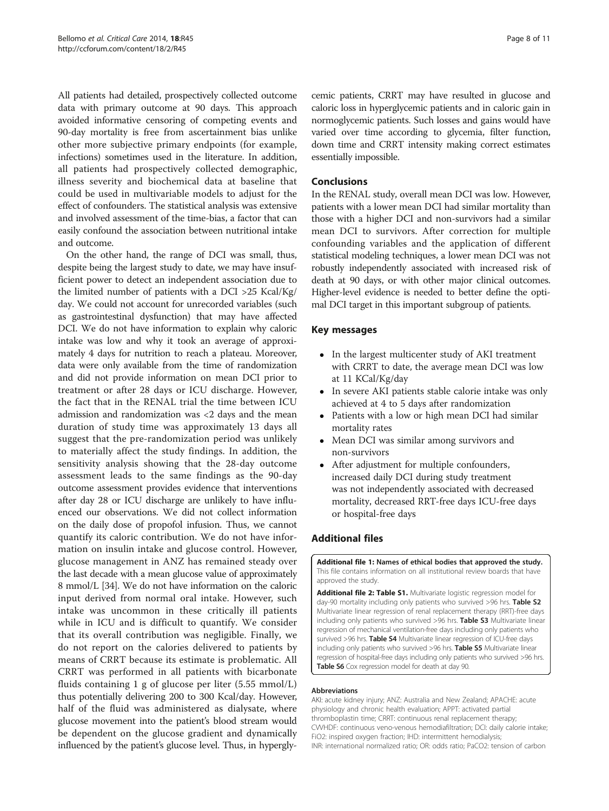All patients had detailed, prospectively collected outcome data with primary outcome at 90 days. This approach avoided informative censoring of competing events and 90-day mortality is free from ascertainment bias unlike other more subjective primary endpoints (for example, infections) sometimes used in the literature. In addition, all patients had prospectively collected demographic, illness severity and biochemical data at baseline that could be used in multivariable models to adjust for the effect of confounders. The statistical analysis was extensive and involved assessment of the time-bias, a factor that can easily confound the association between nutritional intake and outcome.

On the other hand, the range of DCI was small, thus, despite being the largest study to date, we may have insufficient power to detect an independent association due to the limited number of patients with a DCI >25 Kcal/Kg/ day. We could not account for unrecorded variables (such as gastrointestinal dysfunction) that may have affected DCI. We do not have information to explain why caloric intake was low and why it took an average of approximately 4 days for nutrition to reach a plateau. Moreover, data were only available from the time of randomization and did not provide information on mean DCI prior to treatment or after 28 days or ICU discharge. However, the fact that in the RENAL trial the time between ICU admission and randomization was <2 days and the mean duration of study time was approximately 13 days all suggest that the pre-randomization period was unlikely to materially affect the study findings. In addition, the sensitivity analysis showing that the 28-day outcome assessment leads to the same findings as the 90-day outcome assessment provides evidence that interventions after day 28 or ICU discharge are unlikely to have influenced our observations. We did not collect information on the daily dose of propofol infusion. Thus, we cannot quantify its caloric contribution. We do not have information on insulin intake and glucose control. However, glucose management in ANZ has remained steady over the last decade with a mean glucose value of approximately 8 mmol/L [34]. We do not have information on the caloric input derived from normal oral intake. However, such intake was uncommon in these critically ill patients while in ICU and is difficult to quantify. We consider that its overall contribution was negligible. Finally, we do not report on the calories delivered to patients by means of CRRT because its estimate is problematic. All CRRT was performed in all patients with bicarbonate fluids containing 1 g of glucose per liter (5.55 mmol/L) thus potentially delivering 200 to 300 Kcal/day. However, half of the fluid was administered as dialysate, where glucose movement into the patient's blood stream would be dependent on the glucose gradient and dynamically influenced by the patient's glucose level. Thus, in hyperglycemic patients, CRRT may have resulted in glucose and caloric loss in hyperglycemic patients and in caloric gain in normoglycemic patients. Such losses and gains would have varied over time according to glycemia, filter function, down time and CRRT intensity making correct estimates essentially impossible.

## Conclusions

In the RENAL study, overall mean DCI was low. However, patients with a lower mean DCI had similar mortality than those with a higher DCI and non-survivors had a similar mean DCI to survivors. After correction for multiple confounding variables and the application of different statistical modeling techniques, a lower mean DCI was not robustly independently associated with increased risk of death at 90 days, or with other major clinical outcomes. Higher-level evidence is needed to better define the optimal DCI target in this important subgroup of patients.

### Key messages

- In the largest multicenter study of AKI treatment with CRRT to date, the average mean DCI was low at 11 KCal/Kg/day
- In severe AKI patients stable calorie intake was only achieved at 4 to 5 days after randomization
- Patients with a low or high mean DCI had similar mortality rates
- Mean DCI was similar among survivors and non-survivors
- After adjustment for multiple confounders, increased daily DCI during study treatment was not independently associated with decreased mortality, decreased RRT-free days ICU-free days or hospital-free days

## Additional files

Additional file 1: Names of ethical bodies that approved the study. This file contains information on all institutional review boards that have approved the study.

Additional file 2: Table S1. Multivariate logistic regression model for day-90 mortality including only patients who survived >96 hrs. Table S2 Multivariate linear regression of renal replacement therapy (RRT)-free days including only patients who survived >96 hrs. Table S3 Multivariate linear regression of mechanical ventilation-free days including only patients who survived >96 hrs. Table S4 Multivariate linear regression of ICU-free days including only patients who survived >96 hrs. Table S5 Multivariate linear regression of hospital-free days including only patients who survived >96 hrs. Table S6 Cox regression model for death at day 90.

#### Abbreviations

AKI: acute kidney injury; ANZ: Australia and New Zealand; APACHE: acute physiology and chronic health evaluation; APPT: activated partial thromboplastin time; CRRT: continuous renal replacement therapy; CVVHDF: continuous veno-venous hemodiafiltration; DCI: daily calorie intake; FiO2: inspired oxygen fraction; IHD: intermittent hemodialysis; INR: international normalized ratio; OR: odds ratio; PaCO2: tension of carbon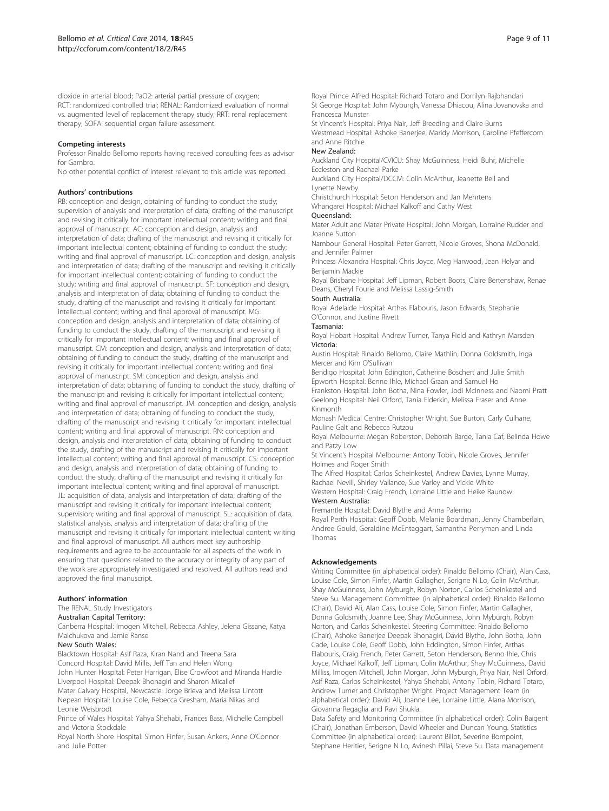dioxide in arterial blood; PaO2: arterial partial pressure of oxygen; RCT: randomized controlled trial; RENAL: Randomized evaluation of normal vs. augmented level of replacement therapy study; RRT: renal replacement therapy; SOFA: sequential organ failure assessment.

#### Competing interests

Professor Rinaldo Bellomo reports having received consulting fees as advisor for Gambro.

No other potential conflict of interest relevant to this article was reported.

#### Authors' contributions

RB: conception and design, obtaining of funding to conduct the study; supervision of analysis and interpretation of data; drafting of the manuscript and revising it critically for important intellectual content; writing and final approval of manuscript. AC: conception and design, analysis and interpretation of data; drafting of the manuscript and revising it critically for important intellectual content; obtaining of funding to conduct the study; writing and final approval of manuscript. LC: conception and design, analysis and interpretation of data; drafting of the manuscript and revising it critically for important intellectual content; obtaining of funding to conduct the study; writing and final approval of manuscript. SF: conception and design, analysis and interpretation of data; obtaining of funding to conduct the study, drafting of the manuscript and revising it critically for important intellectual content; writing and final approval of manuscript. MG: conception and design, analysis and interpretation of data; obtaining of funding to conduct the study, drafting of the manuscript and revising it critically for important intellectual content; writing and final approval of manuscript. CM: conception and design, analysis and interpretation of data; obtaining of funding to conduct the study, drafting of the manuscript and revising it critically for important intellectual content; writing and final approval of manuscript. SM: conception and design, analysis and interpretation of data; obtaining of funding to conduct the study, drafting of the manuscript and revising it critically for important intellectual content; writing and final approval of manuscript. JM: conception and design, analysis and interpretation of data; obtaining of funding to conduct the study, drafting of the manuscript and revising it critically for important intellectual content; writing and final approval of manuscript. RN: conception and design, analysis and interpretation of data; obtaining of funding to conduct the study, drafting of the manuscript and revising it critically for important intellectual content; writing and final approval of manuscript. CS: conception and design, analysis and interpretation of data; obtaining of funding to conduct the study, drafting of the manuscript and revising it critically for important intellectual content; writing and final approval of manuscript. JL: acquisition of data, analysis and interpretation of data; drafting of the manuscript and revising it critically for important intellectual content; supervision; writing and final approval of manuscript. SL: acquisition of data, statistical analysis, analysis and interpretation of data; drafting of the manuscript and revising it critically for important intellectual content; writing and final approval of manuscript. All authors meet key authorship requirements and agree to be accountable for all aspects of the work in ensuring that questions related to the accuracy or integrity of any part of the work are appropriately investigated and resolved. All authors read and approved the final manuscript.

#### Authors' information

The RENAL Study Investigators

#### Australian Capital Territory:

Canberra Hospital: Imogen Mitchell, Rebecca Ashley, Jelena Gissane, Katya Malchukova and Jamie Ranse

#### New South Wales:

Blacktown Hospital: Asif Raza, Kiran Nand and Treena Sara Concord Hospital: David Millis, Jeff Tan and Helen Wong John Hunter Hospital: Peter Harrigan, Elise Crowfoot and Miranda Hardie Liverpool Hospital: Deepak Bhonagiri and Sharon Micallef Mater Calvary Hospital, Newcastle: Jorge Brieva and Melissa Lintott Nepean Hospital: Louise Cole, Rebecca Gresham, Maria Nikas and Leonie Weisbrodt

Prince of Wales Hospital: Yahya Shehabi, Frances Bass, Michelle Campbell and Victoria Stockdale

Royal North Shore Hospital: Simon Finfer, Susan Ankers, Anne O'Connor and Julie Potter

Royal Prince Alfred Hospital: Richard Totaro and Dorrilyn Rajbhandari St George Hospital: John Myburgh, Vanessa Dhiacou, Alina Jovanovska and Francesca Munster

St Vincent's Hospital: Priya Nair, Jeff Breeding and Claire Burns Westmead Hospital: Ashoke Banerjee, Maridy Morrison, Caroline Pfeffercorn and Anne Ritchie

#### New Zealand:

Auckland City Hospital/CVICU: Shay McGuinness, Heidi Buhr, Michelle Eccleston and Rachael Parke

Auckland City Hospital/DCCM: Colin McArthur, Jeanette Bell and Lynette Newby

Christchurch Hospital: Seton Henderson and Jan Mehrtens

Whangarei Hospital: Michael Kalkoff and Cathy West

#### Queensland:

Mater Adult and Mater Private Hospital: John Morgan, Lorraine Rudder and Joanne Sutton

Nambour General Hospital: Peter Garrett, Nicole Groves, Shona McDonald, and Jennifer Palmer

Princess Alexandra Hospital: Chris Joyce, Meg Harwood, Jean Helyar and Benjamin Mackie

Royal Brisbane Hospital: Jeff Lipman, Robert Boots, Claire Bertenshaw, Renae Deans, Cheryl Fourie and Melissa Lassig-Smith

#### South Australia:

Royal Adelaide Hospital: Arthas Flabouris, Jason Edwards, Stephanie O'Connor, and Justine Rivett

#### Tasmania:

Royal Hobart Hospital: Andrew Turner, Tanya Field and Kathryn Marsden Victoria:

Austin Hospital: Rinaldo Bellomo, Claire Mathlin, Donna Goldsmith, Inga Mercer and Kim O'Sullivan

Bendigo Hospital: John Edington, Catherine Boschert and Julie Smith Epworth Hospital: Benno Ihle, Michael Graan and Samuel Ho

Frankston Hospital: John Botha, Nina Fowler, Jodi McInness and Naomi Pratt Geelong Hospital: Neil Orford, Tania Elderkin, Melissa Fraser and Anne Kinmonth

Monash Medical Centre: Christopher Wright, Sue Burton, Carly Culhane, Pauline Galt and Rebecca Rutzou

Royal Melbourne: Megan Roberston, Deborah Barge, Tania Caf, Belinda Howe and Patzy Low

St Vincent's Hospital Melbourne: Antony Tobin, Nicole Groves, Jennifer Holmes and Roger Smith

The Alfred Hospital: Carlos Scheinkestel, Andrew Davies, Lynne Murray, Rachael Nevill, Shirley Vallance, Sue Varley and Vickie White

Western Hospital: Craig French, Lorraine Little and Heike Raunow Western Australia:

Fremantle Hospital: David Blythe and Anna Palermo

Royal Perth Hospital: Geoff Dobb, Melanie Boardman, Jenny Chamberlain, Andree Gould, Geraldine McEntaggart, Samantha Perryman and Linda Thomas

#### Acknowledgements

Writing Committee (in alphabetical order): Rinaldo Bellomo (Chair), Alan Cass, Louise Cole, Simon Finfer, Martin Gallagher, Serigne N Lo, Colin McArthur, Shay McGuinness, John Myburgh, Robyn Norton, Carlos Scheinkestel and Steve Su. Management Committee: (in alphabetical order): Rinaldo Bellomo (Chair), David Ali, Alan Cass, Louise Cole, Simon Finfer, Martin Gallagher, Donna Goldsmith, Joanne Lee, Shay McGuinness, John Myburgh, Robyn Norton, and Carlos Scheinkestel. Steering Committee: Rinaldo Bellomo (Chair), Ashoke Banerjee Deepak Bhonagiri, David Blythe, John Botha, John Cade, Louise Cole, Geoff Dobb, John Eddington, Simon Finfer, Arthas Flabouris, Craig French, Peter Garrett, Seton Henderson, Benno Ihle, Chris Joyce, Michael Kalkoff, Jeff Lipman, Colin McArthur, Shay McGuinness, David Milliss, Imogen Mitchell, John Morgan, John Myburgh, Priya Nair, Neil Orford, Asif Raza, Carlos Scheinkestel, Yahya Shehabi, Antony Tobin, Richard Totaro, Andrew Turner and Christopher Wright. Project Management Team (in alphabetical order): David Ali, Joanne Lee, Lorraine Little, Alana Morrison, Giovanna Regaglia and Ravi Shukla.

Data Safety and Monitoring Committee (in alphabetical order): Colin Baigent (Chair), Jonathan Emberson, David Wheeler and Duncan Young. Statistics Committee (in alphabetical order): Laurent Billot, Severine Bompoint, Stephane Heritier, Serigne N Lo, Avinesh Pillai, Steve Su. Data management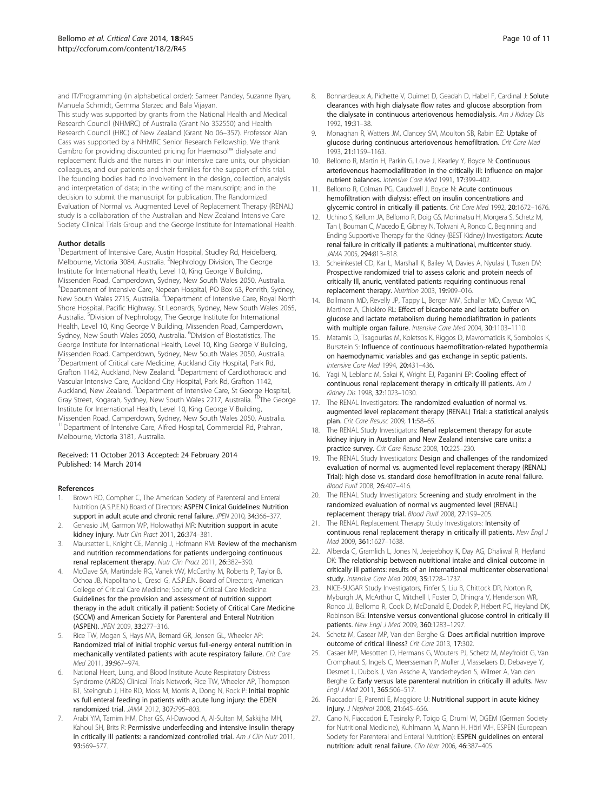and IT/Programming (in alphabetical order): Sameer Pandey, Suzanne Ryan, Manuela Schmidt, Gemma Starzec and Bala Vijayan.

This study was supported by grants from the National Health and Medical Research Council (NHMRC) of Australia (Grant No 352550) and Health Research Council (HRC) of New Zealand (Grant No 06–357). Professor Alan Cass was supported by a NHMRC Senior Research Fellowship. We thank Gambro for providing discounted pricing for Haemosol™ dialysate and replacement fluids and the nurses in our intensive care units, our physician colleagues, and our patients and their families for the support of this trial. The founding bodies had no involvement in the design, collection, analysis and interpretation of data; in the writing of the manuscript; and in the decision to submit the manuscript for publication. The Randomized Evaluation of Normal vs. Augmented Level of Replacement Therapy (RENAL) study is a collaboration of the Australian and New Zealand Intensive Care Society Clinical Trials Group and the George Institute for International Health.

#### Author details

<sup>1</sup>Department of Intensive Care, Austin Hospital, Studley Rd, Heidelberg, Melbourne, Victoria 3084, Australia. <sup>2</sup>Nephrology Division, The George Institute for International Health, Level 10, King George V Building, Missenden Road, Camperdown, Sydney, New South Wales 2050, Australia. <sup>3</sup>Department of Intensive Care, Nepean Hospital, PO Box 63, Penrith, Sydney, New South Wales 2715, Australia. <sup>4</sup>Department of Intensive Care, Royal North Shore Hospital, Pacific Highway, St Leonards, Sydney, New South Wales 2065, Australia. <sup>5</sup>Division of Nephrology, The George Institute for International Health, Level 10, King George V Building, Missenden Road, Camperdown, Sydney, New South Wales 2050, Australia. <sup>6</sup>Division of Biostatistics, The George Institute for International Health, Level 10, King George V Building, Missenden Road, Camperdown, Sydney, New South Wales 2050, Australia. <sup>7</sup>Department of Critical care Medicine, Auckland City Hospital, Park Rd, Grafton 1142, Auckland, New Zealand. <sup>8</sup>Department of Cardiothoracic and Vascular Intensive Care, Auckland City Hospital, Park Rd, Grafton 1142, Auckland, New Zealand. <sup>9</sup>Department of Intensive Care, St George Hospital, Gray Street, Kogarah, Sydney, New South Wales 2217, Australia. <sup>10</sup>The George Institute for International Health, Level 10, King George V Building, Missenden Road, Camperdown, Sydney, New South Wales 2050, Australia. <sup>11</sup>Department of Intensive Care, Alfred Hospital, Commercial Rd, Prahran, Melbourne, Victoria 3181, Australia.

#### Received: 11 October 2013 Accepted: 24 February 2014 Published: 14 March 2014

#### References

- 1. Brown RO, Compher C, The American Society of Parenteral and Enteral Nutrition (A.S.P.E.N.) Board of Directors: ASPEN Clinical Guidelines: Nutrition support in adult acute and chronic renal failure. JPEN 2010, 34:366-377.
- 2. Gervasio JM, Garmon WP, Holowathyi MR: Nutrition support in acute kidney injury. Nutr Clin Pract 2011, 26:374–381.
- Maursetter L, Knight CE, Mennig J, Hofmann RM: Review of the mechanism and nutrition recommendations for patients undergoing continuous renal replacement therapy. Nutr Clin Pract 2011, 26:382–390.
- McClave SA, Martindale RG, Vanek VW, McCarthy M, Roberts P, Taylor B, Ochoa JB, Napolitano L, Cresci G, A.S.P.E.N. Board of Directors; American College of Critical Care Medicine; Society of Critical Care Medicine: Guidelines for the provision and assessment of nutrition support therapy in the adult critically ill patient: Society of Critical Care Medicine (SCCM) and American Society for Parenteral and Enteral Nutrition (ASPEN). JPEN 2009, 33:277–316.
- Rice TW, Mogan S, Hays MA, Bernard GR, Jensen GL, Wheeler AP: Randomized trial of initial trophic versus full-energy enteral nutrition in mechanically ventilated patients with acute respiratory failure. Crit Care Med 2011, 39:967–974.
- 6. National Heart, Lung, and Blood Institute Acute Respiratory Distress Syndrome (ARDS) Clinical Trials Network, Rice TW, Wheeler AP, Thompson BT, Steingrub J, Hite RD, Moss M, Morris A, Dong N, Rock P: Initial trophic vs full enteral feeding in patients with acute lung injury: the EDEN randomized trial. JAMA 2012, 307:795–803.
- 7. Arabi YM, Tamim HM, Dhar GS, Al-Dawood A, Al-Sultan M, Sakkijha MH, Kahoul SH, Brits R: Permissive underfeeding and intensive insulin therapy in critically ill patients: a randomized controlled trial. Am J Clin Nutr 2011, 93:569–577.
- 8. Bonnardeaux A, Pichette V, Ouimet D, Geadah D, Habel F, Cardinal J: Solute clearances with high dialysate flow rates and glucose absorption from the dialysate in continuous arteriovenous hemodialysis. Am J Kidney Dis 1992, 19:31–38.
- 9. Monaghan R, Watters JM, Clancey SM, Moulton SB, Rabin EZ: Uptake of glucose during continuous arteriovenous hemofiltration. Crit Care Med 1993, 21:1159–1163.
- 10. Bellomo R, Martin H, Parkin G, Love J, Kearley Y, Boyce N: Continuous arteriovenous haemodiafiltration in the critically ill: influence on major nutrient balances. Intensive Care Med 1991, 17:399–402.
- 11. Bellomo R, Colman PG, Caudwell J, Boyce N: Acute continuous hemofiltration with dialysis: effect on insulin concentrations and glycemic control in critically ill patients. Crit Care Med 1992, 20:1672–1676.
- 12. Uchino S, Kellum JA, Bellomo R, Doig GS, Morimatsu H, Morgera S, Schetz M, Tan I, Bouman C, Macedo E, Gibney N, Tolwani A, Ronco C, Beginning and Ending Supportive Therapy for the Kidney (BEST Kidney) Investigators: Acute renal failure in critically ill patients: a multinational, multicenter study. JAMA 2005, 294:813-818.
- 13. Scheinkestel CD, Kar L, Marshall K, Bailey M, Davies A, Nyulasi I, Tuxen DV: Prospective randomized trial to assess caloric and protein needs of critically Ill, anuric, ventilated patients requiring continuous renal replacement therapy. Nutrition 2003, 19:909–016.
- 14. Bollmann MD, Revelly JP, Tappy L, Berger MM, Schaller MD, Cayeux MC, Martinez A, Chioléro RL: Effect of bicarbonate and lactate buffer on glucose and lactate metabolism during hemodiafiltration in patients with multiple organ failure. Intensive Care Med 2004, 30:1103–1110.
- 15. Matamis D, Tsagourias M, Koletsos K, Riggos D, Mavromatidis K, Sombolos K, Bursztein S: Influence of continuous haemofiltration-related hypothermia on haemodynamic variables and gas exchange in septic patients. Intensive Care Med 1994, 20:431–436.
- 16. Yagi N, Leblanc M, Sakai K, Wright EJ, Paganini EP: Cooling effect of continuous renal replacement therapy in critically ill patients. Am J Kidney Dis 1998, 32:1023-1030.
- 17. The RENAL Investigators: The randomized evaluation of normal vs. augmented level replacement therapy (RENAL) Trial: a statistical analysis plan. Crit Care Resusc 2009, 11:58–65.
- The RENAL Study Investigators: Renal replacement therapy for acute kidney injury in Australian and New Zealand intensive care units: a practice survey. Crit Care Resusc 2008, 10:225–230.
- 19. The RENAL Study Investigators: Design and challenges of the randomized evaluation of normal vs. augmented level replacement therapy (RENAL) Trial): high dose vs. standard dose hemofiltration in acute renal failure. Blood Purif 2008, 26:407–416.
- 20. The RENAL Study Investigators: Screening and study enrolment in the randomized evaluation of normal vs augmented level (RENAL) replacement therapy trial. Blood Purif 2008, 27:199–205.
- 21. The RENAL Replacement Therapy Study Investigators: Intensity of continuous renal replacement therapy in critically ill patients. New Engl J Med 2009, 361:1627–1638.
- 22. Alberda C, Gramlich L, Jones N, Jeejeebhoy K, Day AG, Dhaliwal R, Heyland DK: The relationship between nutritional intake and clinical outcome in critically ill patients: results of an international multicenter observational study. Intensive Care Med 2009, 35:1728–1737.
- 23. NICE-SUGAR Study Investigators, Finfer S, Liu B, Chittock DR, Norton R, Myburgh JA, McArthur C, Mitchell I, Foster D, Dhingra V, Henderson WR, Ronco JJ, Bellomo R, Cook D, McDonald E, Dodek P, Hébert PC, Heyland DK, Robinson BG: Intensive versus conventional glucose control in critically ill patients. New Engl J Med 2009, 360:1283–1297.
- 24. Schetz M, Casear MP, Van den Berghe G: Does artificial nutrition improve outcome of critical illness? Crit Care 2013, 17:302.
- 25. Casaer MP, Mesotten D, Hermans G, Wouters PJ, Schetz M, Meyfroidt G, Van Cromphaut S, Ingels C, Meersseman P, Muller J, Vlasselaers D, Debaveye Y, Desmet L, Dubois J, Van Assche A, Vanderheyden S, Wilmer A, Van den Berghe G: Early versus late parenteral nutrition in critically ill adults. New Engl J Med 2011, 365:506–517.
- 26. Fiaccadori E, Parenti E, Maggiore U: Nutritional support in acute kidney injury. J Nephrol 2008, 21:645-656.
- 27. Cano N, Fiaccadori E, Tesinsky P, Toigo G, Druml W, DGEM (German Society for Nutritional Medicine), Kuhlmann M, Mann H, Hörl WH, ESPEN (European Society for Parenteral and Enteral Nutrition): ESPEN guidelines on enteral nutrition: adult renal failure. Clin Nutr 2006, 46:387–405.